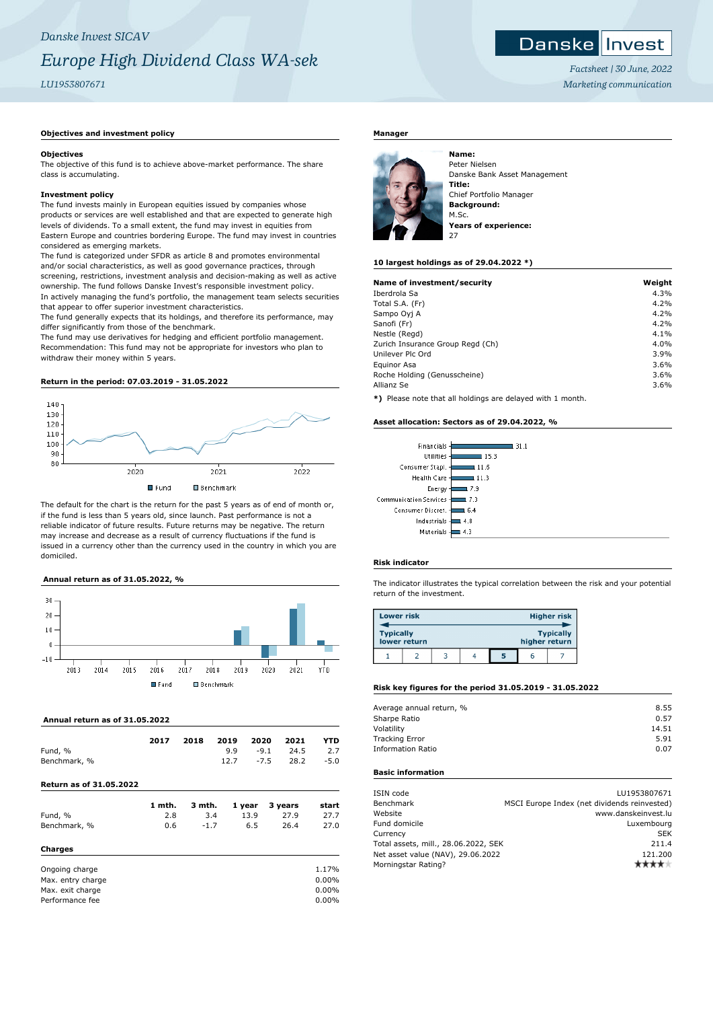# **Danske Invest**

*Factsheet | 30 June, 2022 Marketing communication*

# **Objectives and investment policy**

#### **Objectives**

The objective of this fund is to achieve above-market performance. The share class is accumulating.

#### **Investment policy**

The fund invests mainly in European equities issued by companies whose products or services are well established and that are expected to generate high levels of dividends. To a small extent, the fund may invest in equities from Eastern Europe and countries bordering Europe. The fund may invest in countries considered as emerging markets.

The fund is categorized under SFDR as article 8 and promotes environmental and/or social characteristics, as well as good governance practices, through screening, restrictions, investment analysis and decision-making as well as active ownership. The fund follows Danske Invest's responsible investment policy. In actively managing the fund's portfolio, the management team selects securities that appear to offer superior investment characteristics.

The fund generally expects that its holdings, and therefore its performance, may differ significantly from those of the benchmark.

The fund may use derivatives for hedging and efficient portfolio management. Recommendation: This fund may not be appropriate for investors who plan to withdraw their money within 5 years.

# **Return in the period: 07.03.2019 - 31.05.2022**



The default for the chart is the return for the past 5 years as of end of month or, if the fund is less than 5 years old, since launch. Past performance is not a reliable indicator of future results. Future returns may be negative. The return may increase and decrease as a result of currency fluctuations if the fund is issued in a currency other than the currency used in the country in which you are domiciled.

# **Annual return as of 31.05.2022, %**



 **Annual return as of 31.05.2022**

| Fund, %<br>Benchmark, %        | 2017          | 2018   | 2019<br>9.9<br>12.7 | 2020<br>$-9.1$<br>$-7.5$ | 2021<br>24.5<br>28.2        | YTD<br>2.7<br>$-5.0$ |
|--------------------------------|---------------|--------|---------------------|--------------------------|-----------------------------|----------------------|
| <b>Return as of 31.05.2022</b> |               |        |                     |                          |                             |                      |
| $E$ und $0/2$                  | 1 mth.<br>າ ວ | 3 mth. | 24                  |                          | 1 year 3 years<br>חידר חידו | start<br>つつつつ        |

| Charges      |     |      |      |      |      |
|--------------|-----|------|------|------|------|
| Benchmark, % | 0.6 | -1.7 | 6.5  | 26.4 | 27.0 |
| Fund, %      | 2.8 | 3.4  | 13.9 | 27.9 | 27.7 |

| Ongoing charge    | 1.17%    |
|-------------------|----------|
| Max. entry charge | $0.00\%$ |
| Max. exit charge  | $0.00\%$ |
| Performance fee   | $0.00\%$ |

# **Manager**



Peter Nielsen Danske Bank Asset Management **Title:** Chief Portfolio Manager **Background:** M.Sc. **Years of experience:** 27

#### **10 largest holdings as of 29.04.2022 \*)**

| Name of investment/security      | Weight |
|----------------------------------|--------|
| Iberdrola Sa                     | 4.3%   |
| Total S.A. (Fr)                  | 4.2%   |
| Sampo Oyj A                      | 4.2%   |
| Sanofi (Fr)                      | 4.2%   |
| Nestle (Regd)                    | 4.1%   |
| Zurich Insurance Group Regd (Ch) | 4.0%   |
| Unilever Plc Ord                 | 3.9%   |
| Equinor Asa                      | 3.6%   |
| Roche Holding (Genusscheine)     | 3.6%   |
| Allianz Se                       | 3.6%   |

**\*)** Please note that all holdings are delayed with 1 month.

#### **Asset allocation: Sectors as of 29.04.2022, %**

| Financials            | 31 1  |
|-----------------------|-------|
| <b>Utilities</b>      | 15.3  |
| Consumer Stapl.       | 11.6  |
| <b>Health Care</b>    | 111.3 |
| Energy                | 17.9  |
| ommunication Services | l 7.3 |
| Consumer Discret.     | 6.4   |
| Industrials           | 4.8   |
| Materials             |       |
|                       |       |

#### **Risk indicator**

 $\epsilon$ 

The indicator illustrates the typical correlation between the risk and your potential return of the investment.

| <b>Lower risk</b> |              |  |   |               | <b>Higher risk</b> |
|-------------------|--------------|--|---|---------------|--------------------|
| <b>Typically</b>  | lower return |  |   | higher return | <b>Typically</b>   |
|                   |              |  | 5 | r             |                    |

# **Risk key figures for the period 31.05.2019 - 31.05.2022**

| Average annual return, % | 8.55  |
|--------------------------|-------|
| Sharpe Ratio             | 0.57  |
| Volatility               | 14.51 |
| <b>Tracking Error</b>    | 5.91  |
| <b>Information Ratio</b> | 0.07  |
|                          |       |

# **Basic information**

| ISIN code                            | LU1953807671                                 |
|--------------------------------------|----------------------------------------------|
| Benchmark                            | MSCI Europe Index (net dividends reinvested) |
| Website                              | www.danskeinvest.lu                          |
| Fund domicile                        | Luxembourg                                   |
| Currency                             | <b>SEK</b>                                   |
| Total assets, mill., 28.06.2022, SEK | 211.4                                        |
| Net asset value (NAV), 29.06.2022    | 121.200                                      |
| Morningstar Rating?                  |                                              |
|                                      |                                              |